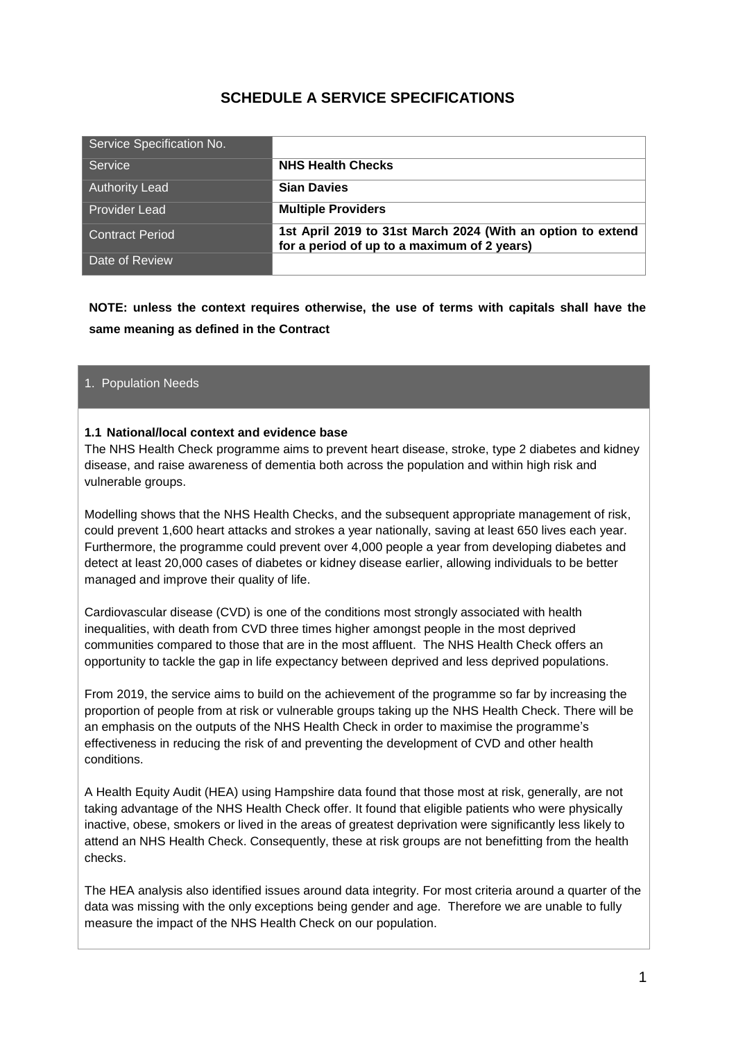## **SCHEDULE A SERVICE SPECIFICATIONS**

| Service Specification No. |                                                                                                            |
|---------------------------|------------------------------------------------------------------------------------------------------------|
| Service                   | <b>NHS Health Checks</b>                                                                                   |
| <b>Authority Lead</b>     | <b>Sian Davies</b>                                                                                         |
| <b>Provider Lead</b>      | <b>Multiple Providers</b>                                                                                  |
| <b>Contract Period</b>    | 1st April 2019 to 31st March 2024 (With an option to extend<br>for a period of up to a maximum of 2 years) |
| Date of Review            |                                                                                                            |

**NOTE: unless the context requires otherwise, the use of terms with capitals shall have the same meaning as defined in the Contract**

#### 1. Population Needs

#### **1.1 National/local context and evidence base**

The NHS Health Check programme aims to prevent heart disease, stroke, type 2 diabetes and kidney disease, and raise awareness of dementia both across the population and within high risk and vulnerable groups.

Modelling shows that the NHS Health Checks, and the subsequent appropriate management of risk, could prevent 1,600 heart attacks and strokes a year nationally, saving at least 650 lives each year. Furthermore, the programme could prevent over 4,000 people a year from developing diabetes and detect at least 20,000 cases of diabetes or kidney disease earlier, allowing individuals to be better managed and improve their quality of life.

Cardiovascular disease (CVD) is one of the conditions most strongly associated with health inequalities, with death from CVD three times higher amongst people in the most deprived communities compared to those that are in the most affluent. The NHS Health Check offers an opportunity to tackle the gap in life expectancy between deprived and less deprived populations.

From 2019, the service aims to build on the achievement of the programme so far by increasing the proportion of people from at risk or vulnerable groups taking up the NHS Health Check. There will be an emphasis on the outputs of the NHS Health Check in order to maximise the programme's effectiveness in reducing the risk of and preventing the development of CVD and other health conditions.

A Health Equity Audit (HEA) using Hampshire data found that those most at risk, generally, are not taking advantage of the NHS Health Check offer. It found that eligible patients who were physically inactive, obese, smokers or lived in the areas of greatest deprivation were significantly less likely to attend an NHS Health Check. Consequently, these at risk groups are not benefitting from the health checks.

The HEA analysis also identified issues around data integrity. For most criteria around a quarter of the data was missing with the only exceptions being gender and age. Therefore we are unable to fully measure the impact of the NHS Health Check on our population.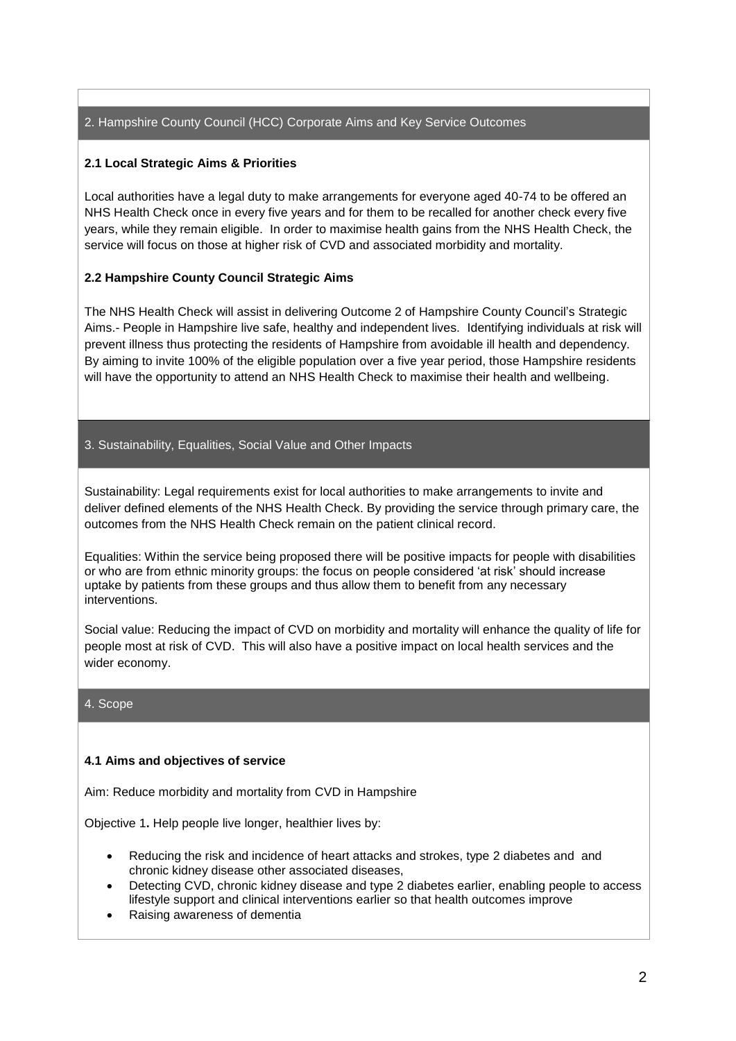## 2. Hampshire County Council (HCC) Corporate Aims and Key Service Outcomes

### **2.1 Local Strategic Aims & Priorities**

Local authorities have a legal duty to make arrangements for everyone aged 40-74 to be offered an NHS Health Check once in every five years and for them to be recalled for another check every five years, while they remain eligible. In order to maximise health gains from the NHS Health Check, the service will focus on those at higher risk of CVD and associated morbidity and mortality.

## **2.2 Hampshire County Council Strategic Aims**

The NHS Health Check will assist in delivering Outcome 2 of Hampshire County Council's Strategic Aims.- People in Hampshire live safe, healthy and independent lives. Identifying individuals at risk will prevent illness thus protecting the residents of Hampshire from avoidable ill health and dependency. By aiming to invite 100% of the eligible population over a five year period, those Hampshire residents will have the opportunity to attend an NHS Health Check to maximise their health and wellbeing.

## 3. Sustainability, Equalities, Social Value and Other Impacts

Sustainability: Legal requirements exist for local authorities to make arrangements to invite and deliver defined elements of the NHS Health Check. By providing the service through primary care, the outcomes from the NHS Health Check remain on the patient clinical record.

Equalities: Within the service being proposed there will be positive impacts for people with disabilities or who are from ethnic minority groups: the focus on people considered 'at risk' should increase uptake by patients from these groups and thus allow them to benefit from any necessary interventions.

Social value: Reducing the impact of CVD on morbidity and mortality will enhance the quality of life for people most at risk of CVD. This will also have a positive impact on local health services and the wider economy.

#### 4. Scope

#### **4.1 Aims and objectives of service**

Aim: Reduce morbidity and mortality from CVD in Hampshire

Objective 1**.** Help people live longer, healthier lives by:

- Reducing the risk and incidence of heart attacks and strokes, type 2 diabetes and and chronic kidney disease other associated diseases,
- Detecting CVD, chronic kidney disease and type 2 diabetes earlier, enabling people to access lifestyle support and clinical interventions earlier so that health outcomes improve
- Raising awareness of dementia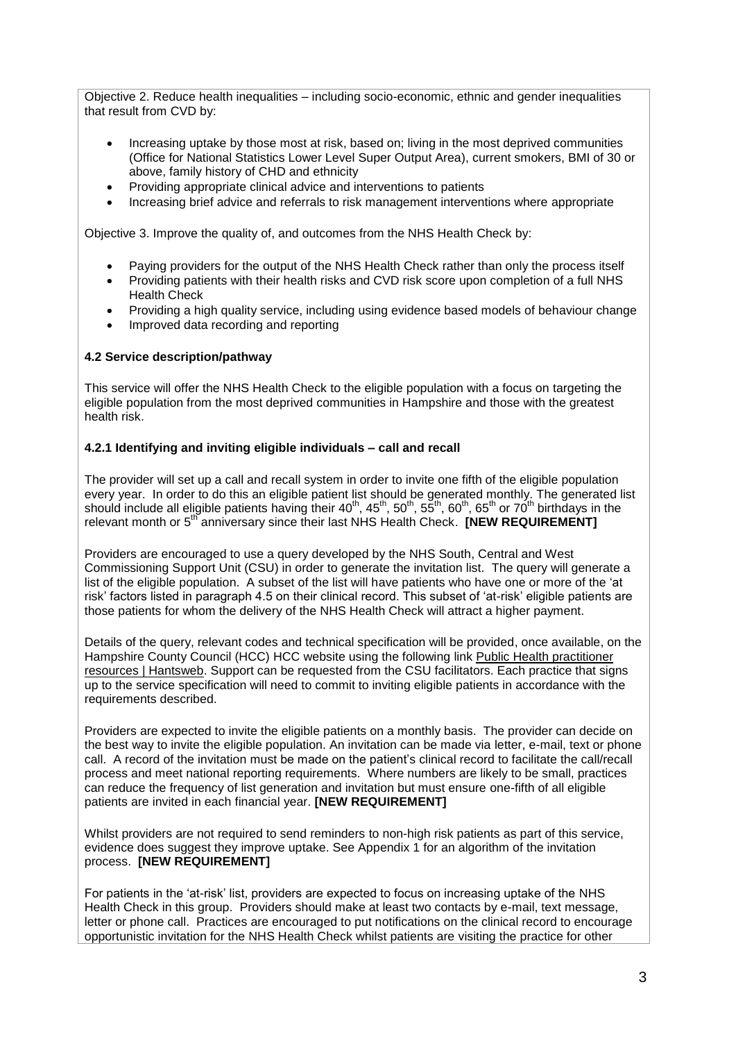Objective 2. Reduce health inequalities – including socio-economic, ethnic and gender inequalities that result from CVD by:

- Increasing uptake by those most at risk, based on; living in the most deprived communities (Office for National Statistics Lower Level Super Output Area), current smokers, BMI of 30 or above, family history of CHD and ethnicity
- Providing appropriate clinical advice and interventions to patients
- Increasing brief advice and referrals to risk management interventions where appropriate

Objective 3. Improve the quality of, and outcomes from the NHS Health Check by:

- Paying providers for the output of the NHS Health Check rather than only the process itself
- Providing patients with their health risks and CVD risk score upon completion of a full NHS Health Check
- Providing a high quality service, including using evidence based models of behaviour change
- Improved data recording and reporting

#### **4.2 Service description/pathway**

This service will offer the NHS Health Check to the eligible population with a focus on targeting the eligible population from the most deprived communities in Hampshire and those with the greatest health risk.

#### **4.2.1 Identifying and inviting eligible individuals – call and recall**

The provider will set up a call and recall system in order to invite one fifth of the eligible population every year. In order to do this an eligible patient list should be generated monthly. The generated list should include all eligible patients having their 40<sup>th</sup>, 45<sup>th</sup>, 50<sup>th</sup>, 55<sup>th</sup>, 60<sup>th</sup>, 65<sup>th</sup> or 70<sup>th</sup> birthdays in the relevant month or 5<sup>th</sup> anniversary since their last NHS Health Check. **[NEW REQUIREMENT]** 

Providers are encouraged to use a query developed by the NHS South, Central and West Commissioning Support Unit (CSU) in order to generate the invitation list. The query will generate a list of the eligible population. A subset of the list will have patients who have one or more of the 'at risk' factors listed in paragraph 4.5 on their clinical record. This subset of 'at-risk' eligible patients are those patients for whom the delivery of the NHS Health Check will attract a higher payment.

Details of the query, relevant codes and technical specification will be provided, once available, on the Hampshire County Council (HCC) HCC website using the following link [Public Health practitioner](https://www.hants.gov.uk/socialcareandhealth/publichealth/practitionerresources)  [resources | Hantsweb.](https://www.hants.gov.uk/socialcareandhealth/publichealth/practitionerresources) Support can be requested from the CSU facilitators. Each practice that signs up to the service specification will need to commit to inviting eligible patients in accordance with the requirements described.

Providers are expected to invite the eligible patients on a monthly basis. The provider can decide on the best way to invite the eligible population. An invitation can be made via letter, e-mail, text or phone call. A record of the invitation must be made on the patient's clinical record to facilitate the call/recall process and meet national reporting requirements. Where numbers are likely to be small, practices can reduce the frequency of list generation and invitation but must ensure one-fifth of all eligible patients are invited in each financial year. **[NEW REQUIREMENT]**

Whilst providers are not required to send reminders to non-high risk patients as part of this service, evidence does suggest they improve uptake. See Appendix 1 for an algorithm of the invitation process. **[NEW REQUIREMENT]**

For patients in the 'at-risk' list, providers are expected to focus on increasing uptake of the NHS Health Check in this group. Providers should make at least two contacts by e-mail, text message, letter or phone call. Practices are encouraged to put notifications on the clinical record to encourage opportunistic invitation for the NHS Health Check whilst patients are visiting the practice for other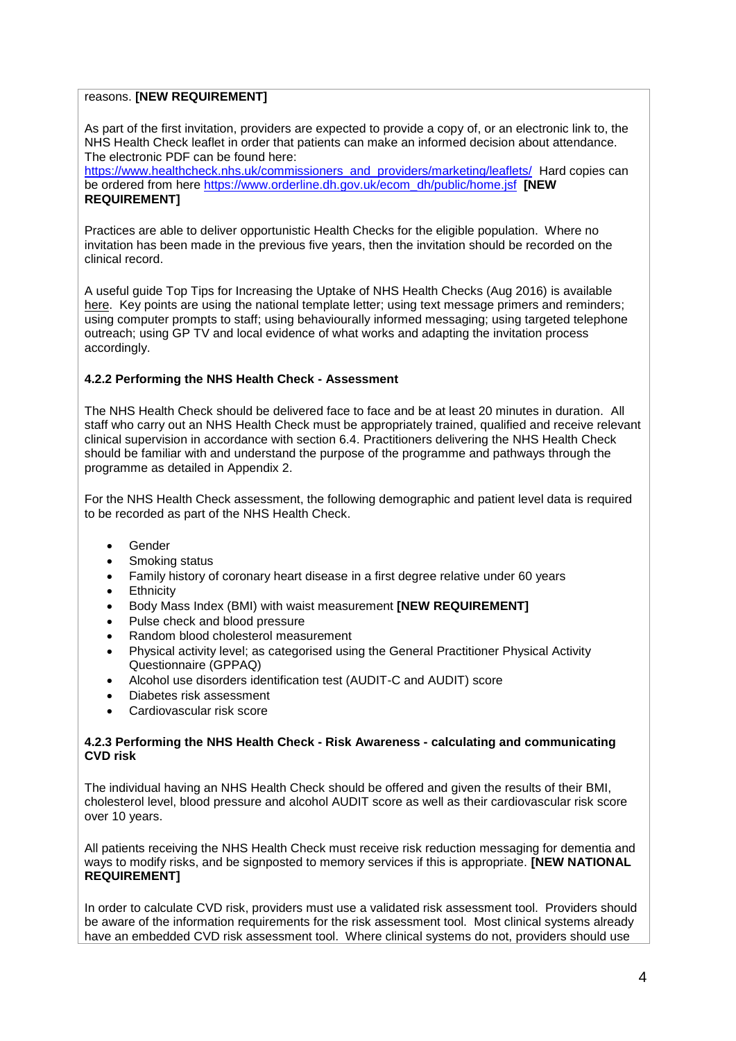#### reasons. **[NEW REQUIREMENT]**

As part of the first invitation, providers are expected to provide a copy of, or an electronic link to, the NHS Health Check leaflet in order that patients can make an informed decision about attendance. The electronic PDF can be found here:

[https://www.healthcheck.nhs.uk/commissioners\\_and\\_providers/marketing/leaflets/](https://www.healthcheck.nhs.uk/commissioners_and_providers/marketing/leaflets/) Hard copies can be ordered from here [https://www.orderline.dh.gov.uk/ecom\\_dh/public/home.jsf](https://www.orderline.dh.gov.uk/ecom_dh/public/home.jsf) **[NEW REQUIREMENT]**

Practices are able to deliver opportunistic Health Checks for the eligible population. Where no invitation has been made in the previous five years, then the invitation should be recorded on the clinical record.

A useful guide Top Tips for Increasing the Uptake of NHS Health Checks (Aug 2016) is available [here.](https://www.gov.uk/government/publications/nhs-health-checks-increasing-uptake/top-tips-for-increasing-the-uptake-of-nhs-health-checks) Key points are using the national template letter; using text message primers and reminders; using computer prompts to staff; using behaviourally informed messaging; using targeted telephone outreach; using GP TV and local evidence of what works and adapting the invitation process accordingly.

#### **4.2.2 Performing the NHS Health Check - Assessment**

The NHS Health Check should be delivered face to face and be at least 20 minutes in duration. All staff who carry out an NHS Health Check must be appropriately trained, qualified and receive relevant clinical supervision in accordance with section 6.4. Practitioners delivering the NHS Health Check should be familiar with and understand the purpose of the programme and pathways through the programme as detailed in Appendix 2.

For the NHS Health Check assessment, the following demographic and patient level data is required to be recorded as part of the NHS Health Check.

- Gender
- Smoking status
- Family history of coronary heart disease in a first degree relative under 60 years
- **Ethnicity**
- Body Mass Index (BMI) with waist measurement **[NEW REQUIREMENT]**
- Pulse check and blood pressure
- Random blood cholesterol measurement
- Physical activity level; as categorised using the General Practitioner Physical Activity Questionnaire (GPPAQ)
- Alcohol use disorders identification test (AUDIT-C and AUDIT) score
- Diabetes risk assessment
- Cardiovascular risk score

#### **4.2.3 Performing the NHS Health Check - Risk Awareness - calculating and communicating CVD risk**

The individual having an NHS Health Check should be offered and given the results of their BMI, cholesterol level, blood pressure and alcohol AUDIT score as well as their cardiovascular risk score over 10 years.

All patients receiving the NHS Health Check must receive risk reduction messaging for dementia and ways to modify risks, and be signposted to memory services if this is appropriate. **[NEW NATIONAL REQUIREMENT]**

In order to calculate CVD risk, providers must use a validated risk assessment tool. Providers should be aware of the information requirements for the risk assessment tool. Most clinical systems already have an embedded CVD risk assessment tool. Where clinical systems do not, providers should use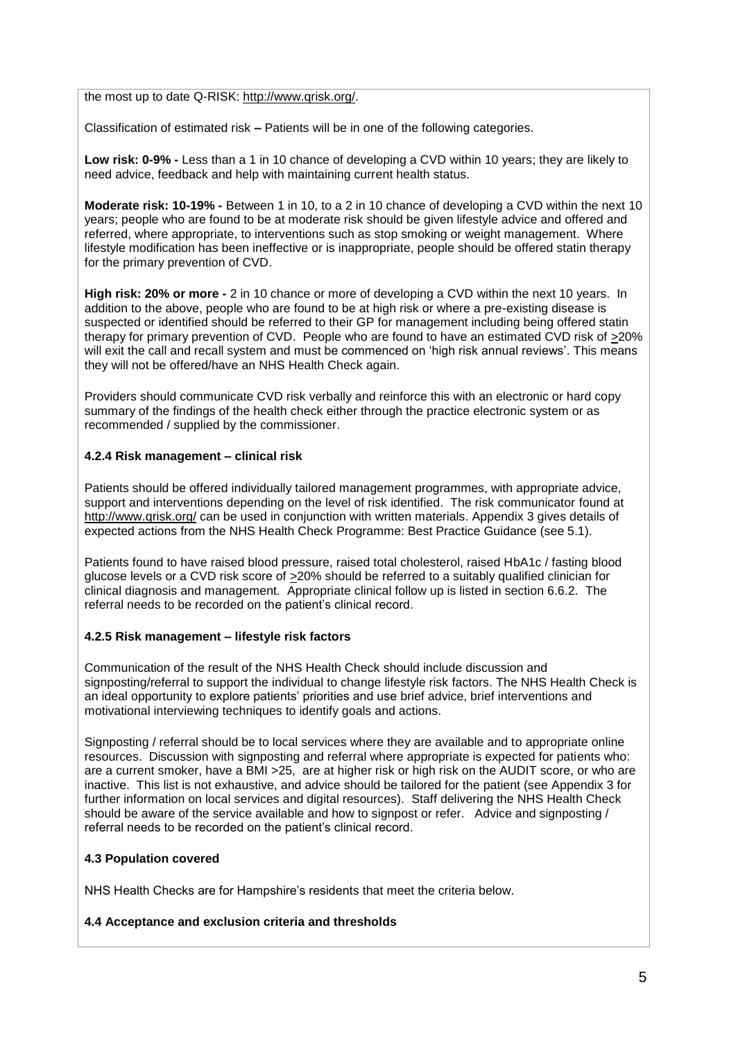the most up to date Q-RISK: [http://www.qrisk.org/.](http://www.qrisk.org/)

Classification of estimated risk **–** Patients will be in one of the following categories.

**Low risk: 0-9% -** Less than a 1 in 10 chance of developing a CVD within 10 years; they are likely to need advice, feedback and help with maintaining current health status.

**Moderate risk: 10-19% -** Between 1 in 10, to a 2 in 10 chance of developing a CVD within the next 10 years; people who are found to be at moderate risk should be given lifestyle advice and offered and referred, where appropriate, to interventions such as stop smoking or weight management. Where lifestyle modification has been ineffective or is inappropriate, people should be offered statin therapy for the primary prevention of CVD.

**High risk: 20% or more -** 2 in 10 chance or more of developing a CVD within the next 10 years. In addition to the above, people who are found to be at high risk or where a pre-existing disease is suspected or identified should be referred to their GP for management including being offered statin therapy for primary prevention of CVD. People who are found to have an estimated CVD risk of >20% will exit the call and recall system and must be commenced on 'high risk annual reviews'. This means they will not be offered/have an NHS Health Check again.

Providers should communicate CVD risk verbally and reinforce this with an electronic or hard copy summary of the findings of the health check either through the practice electronic system or as recommended / supplied by the commissioner.

#### **4.2.4 Risk management – clinical risk**

Patients should be offered individually tailored management programmes, with appropriate advice, support and interventions depending on the level of risk identified. The risk communicator found at <http://www.qrisk.org/> can be used in conjunction with written materials. Appendix 3 gives details of expected actions from the NHS Health Check Programme: Best Practice Guidance (see 5.1).

Patients found to have raised blood pressure, raised total cholesterol, raised HbA1c / fasting blood glucose levels or a CVD risk score of >20% should be referred to a suitably qualified clinician for clinical diagnosis and management. Appropriate clinical follow up is listed in section 6.6.2. The referral needs to be recorded on the patient's clinical record.

#### **4.2.5 Risk management – lifestyle risk factors**

Communication of the result of the NHS Health Check should include discussion and signposting/referral to support the individual to change lifestyle risk factors. The NHS Health Check is an ideal opportunity to explore patients' priorities and use brief advice, brief interventions and motivational interviewing techniques to identify goals and actions.

Signposting / referral should be to local services where they are available and to appropriate online resources. Discussion with signposting and referral where appropriate is expected for patients who: are a current smoker, have a BMI >25, are at higher risk or high risk on the AUDIT score, or who are inactive. This list is not exhaustive, and advice should be tailored for the patient (see Appendix 3 for further information on local services and digital resources). Staff delivering the NHS Health Check should be aware of the service available and how to signpost or refer. Advice and signposting / referral needs to be recorded on the patient's clinical record.

#### **4.3 Population covered**

NHS Health Checks are for Hampshire's residents that meet the criteria below.

#### **4.4 Acceptance and exclusion criteria and thresholds**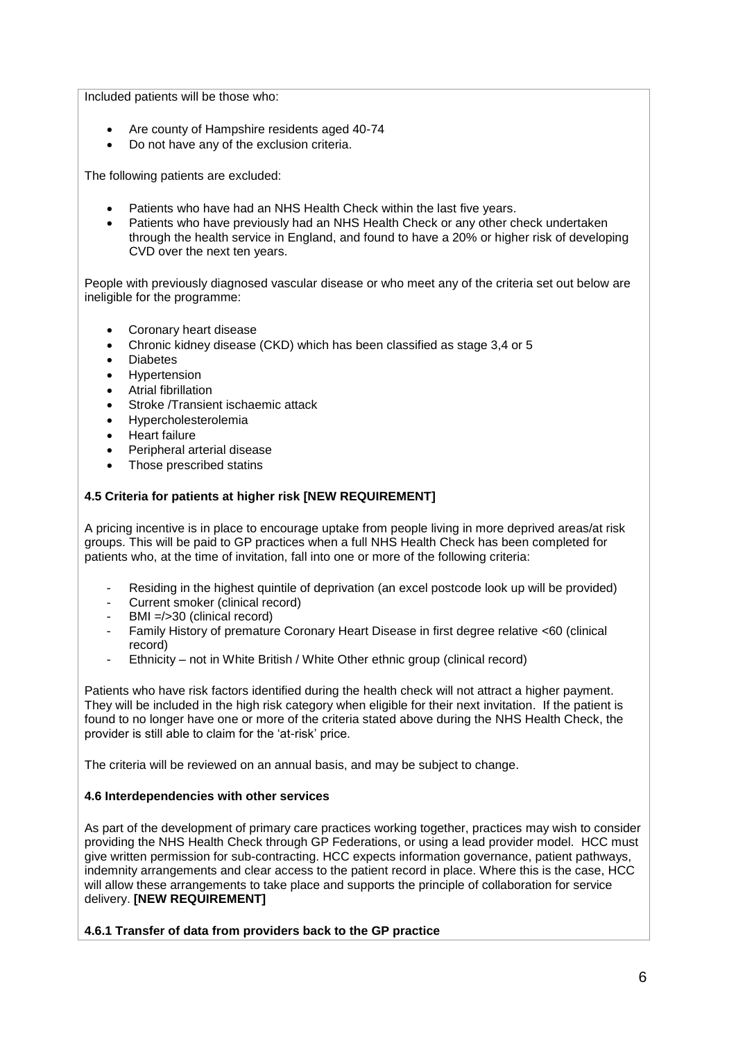Included patients will be those who:

- Are county of Hampshire residents aged 40-74
- Do not have any of the exclusion criteria.

The following patients are excluded:

- Patients who have had an NHS Health Check within the last five years.
- Patients who have previously had an NHS Health Check or any other check undertaken through the health service in England, and found to have a 20% or higher risk of developing CVD over the next ten years.

People with previously diagnosed vascular disease or who meet any of the criteria set out below are ineligible for the programme:

- Coronary heart disease
- Chronic kidney disease (CKD) which has been classified as stage 3,4 or 5
- **Diabetes**
- Hypertension
- Atrial fibrillation
- Stroke /Transient ischaemic attack
- Hypercholesterolemia
- Heart failure
- Peripheral arterial disease
- Those prescribed statins

## **4.5 Criteria for patients at higher risk [NEW REQUIREMENT]**

A pricing incentive is in place to encourage uptake from people living in more deprived areas/at risk groups. This will be paid to GP practices when a full NHS Health Check has been completed for patients who, at the time of invitation, fall into one or more of the following criteria:

- Residing in the highest quintile of deprivation (an excel postcode look up will be provided)
- Current smoker (clinical record)
- $BM = / > 30$  (clinical record)
- Family History of premature Coronary Heart Disease in first degree relative <60 (clinical record)
- Ethnicity not in White British / White Other ethnic group (clinical record)

Patients who have risk factors identified during the health check will not attract a higher payment. They will be included in the high risk category when eligible for their next invitation. If the patient is found to no longer have one or more of the criteria stated above during the NHS Health Check, the provider is still able to claim for the 'at-risk' price.

The criteria will be reviewed on an annual basis, and may be subject to change.

## **4.6 Interdependencies with other services**

As part of the development of primary care practices working together, practices may wish to consider providing the NHS Health Check through GP Federations, or using a lead provider model. HCC must give written permission for sub-contracting. HCC expects information governance, patient pathways, indemnity arrangements and clear access to the patient record in place. Where this is the case, HCC will allow these arrangements to take place and supports the principle of collaboration for service delivery. **[NEW REQUIREMENT]**

**4.6.1 Transfer of data from providers back to the GP practice**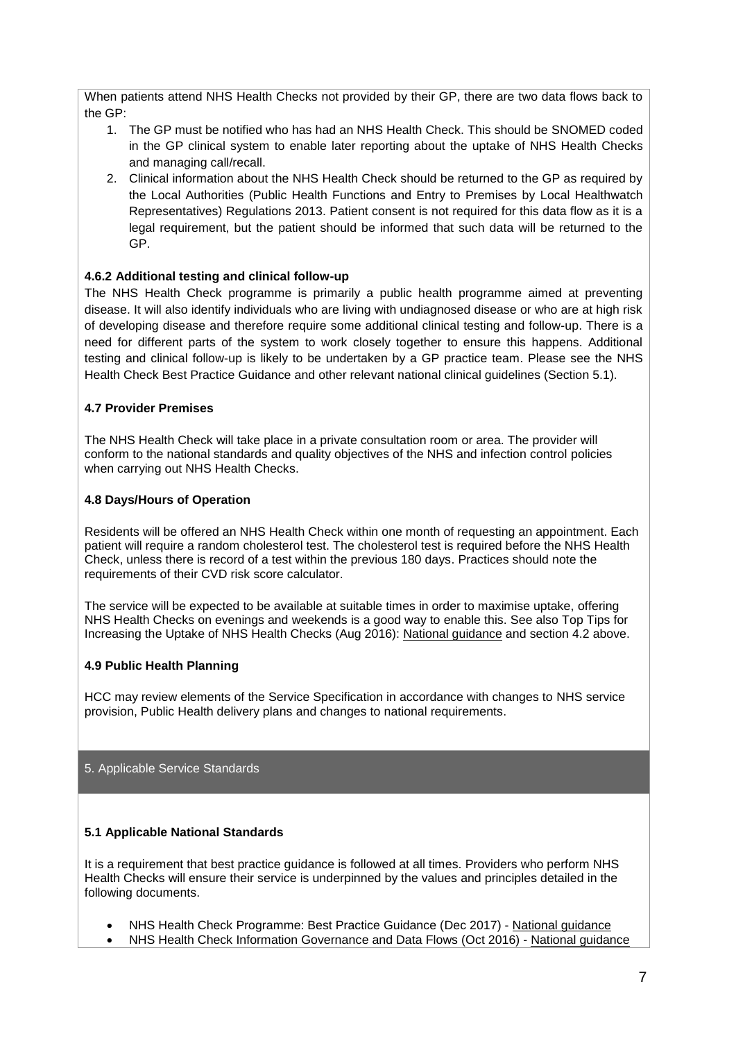When patients attend NHS Health Checks not provided by their GP, there are two data flows back to the GP:

- 1. The GP must be notified who has had an NHS Health Check. This should be SNOMED coded in the GP clinical system to enable later reporting about the uptake of NHS Health Checks and managing call/recall.
- 2. Clinical information about the NHS Health Check should be returned to the GP as required by the Local Authorities (Public Health Functions and Entry to Premises by Local Healthwatch Representatives) Regulations 2013. Patient consent is not required for this data flow as it is a legal requirement, but the patient should be informed that such data will be returned to the GP.

## **4.6.2 Additional testing and clinical follow-up**

The NHS Health Check programme is primarily a public health programme aimed at preventing disease. It will also identify individuals who are living with undiagnosed disease or who are at high risk of developing disease and therefore require some additional clinical testing and follow-up. There is a need for different parts of the system to work closely together to ensure this happens. Additional testing and clinical follow-up is likely to be undertaken by a GP practice team. Please see the NHS Health Check Best Practice Guidance and other relevant national clinical guidelines (Section 5.1).

## **4.7 Provider Premises**

The NHS Health Check will take place in a private consultation room or area. The provider will conform to the national standards and quality objectives of the NHS and infection control policies when carrying out NHS Health Checks.

## **4.8 Days/Hours of Operation**

Residents will be offered an NHS Health Check within one month of requesting an appointment. Each patient will require a random cholesterol test. The cholesterol test is required before the NHS Health Check, unless there is record of a test within the previous 180 days. Practices should note the requirements of their CVD risk score calculator.

The service will be expected to be available at suitable times in order to maximise uptake, offering NHS Health Checks on evenings and weekends is a good way to enable this. See also Top Tips for Increasing the Uptake of NHS Health Checks (Aug 2016): [National guidance](http://www.healthcheck.nhs.uk/commissioners_and_providers/guidance/national_guidance1/) and section 4.2 above.

## **4.9 Public Health Planning**

HCC may review elements of the Service Specification in accordance with changes to NHS service provision, Public Health delivery plans and changes to national requirements.

#### 5. Applicable Service Standards

## **5.1 Applicable National Standards**

It is a requirement that best practice guidance is followed at all times. Providers who perform NHS Health Checks will ensure their service is underpinned by the values and principles detailed in the following documents.

- NHS Health Check Programme: Best Practice Guidance (Dec 2017) [National guidance](http://www.healthcheck.nhs.uk/commissioners_and_providers/guidance/national_guidance1/)
- NHS Health Check Information Governance and Data Flows (Oct 2016) [National guidance](http://www.healthcheck.nhs.uk/commissioners_and_providers/guidance/national_guidance1/)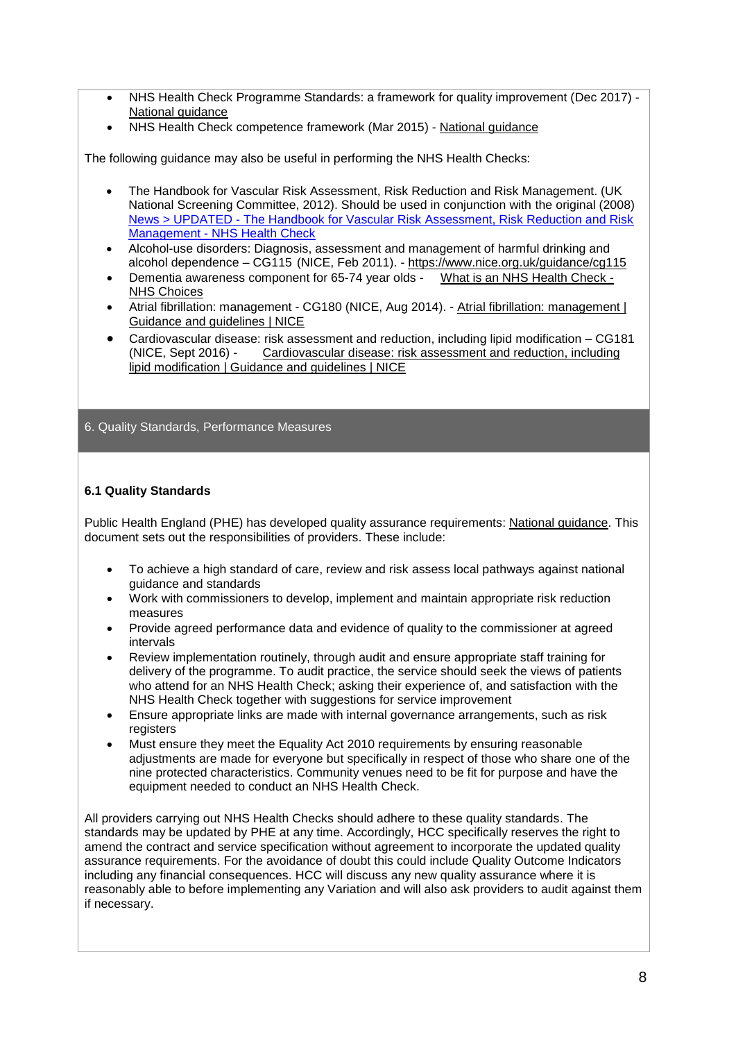- NHS Health Check Programme Standards: a framework for quality improvement (Dec 2017) [National guidance](http://www.healthcheck.nhs.uk/commissioners_and_providers/guidance/national_guidance1/)
- NHS Health Check competence framework (Mar 2015) [National guidance](http://www.healthcheck.nhs.uk/commissioners_and_providers/guidance/national_guidance1/)

The following guidance may also be useful in performing the NHS Health Checks:

- The Handbook for Vascular Risk Assessment, Risk Reduction and Risk Management. (UK National Screening Committee, 2012). Should be used in conjunction with the original (2008) News > UPDATED - [The Handbook for Vascular Risk Assessment, Risk Reduction and Risk](https://www.healthcheck.nhs.uk/latest_news/the_handbook_for_vascular_risk_assessment_risk_reduction_and_risk_management/)  Management - [NHS Health Check](https://www.healthcheck.nhs.uk/latest_news/the_handbook_for_vascular_risk_assessment_risk_reduction_and_risk_management/)
- Alcohol-use disorders: Diagnosis, assessment and management of harmful drinking and alcohol dependence – CG115 (NICE, Feb 2011). - <https://www.nice.org.uk/guidance/cg115>
- Dementia awareness component for 65-74 year olds [What is an NHS Health Check -](https://www.nhs.uk/conditions/nhs-health-check/pages/what-is-an-nhs-health-check-new.aspx) [NHS Choices](https://www.nhs.uk/conditions/nhs-health-check/pages/what-is-an-nhs-health-check-new.aspx)
- Atrial fibrillation: management CG180 (NICE, Aug 2014). Atrial fibrillation: management | [Guidance and guidelines | NICE](https://www.nice.org.uk/guidance/cg180)
- Cardiovascular disease: risk assessment and reduction, including lipid modification CG181<br>(NICE, Sept 2016) Cardiovascular disease: risk assessment and reduction, including Cardiovascular disease: risk assessment and reduction, including [lipid modification | Guidance and guidelines | NICE](https://www.nice.org.uk/guidance/cg181)

#### 6. Quality Standards, Performance Measures

#### **6.1 Quality Standards**

Public Health England (PHE) has developed quality assurance requirements: [National guidance.](http://www.healthcheck.nhs.uk/commissioners_and_providers/guidance/national_guidance1/) This document sets out the responsibilities of providers. These include:

- To achieve a high standard of care, review and risk assess local pathways against national guidance and standards
- Work with commissioners to develop, implement and maintain appropriate risk reduction measures
- Provide agreed performance data and evidence of quality to the commissioner at agreed intervals
- Review implementation routinely, through audit and ensure appropriate staff training for delivery of the programme. To audit practice, the service should seek the views of patients who attend for an NHS Health Check; asking their experience of, and satisfaction with the NHS Health Check together with suggestions for service improvement
- Ensure appropriate links are made with internal governance arrangements, such as risk registers
- Must ensure they meet the Equality Act 2010 requirements by ensuring reasonable adjustments are made for everyone but specifically in respect of those who share one of the nine protected characteristics. Community venues need to be fit for purpose and have the equipment needed to conduct an NHS Health Check.

All providers carrying out NHS Health Checks should adhere to these quality standards. The standards may be updated by PHE at any time. Accordingly, HCC specifically reserves the right to amend the contract and service specification without agreement to incorporate the updated quality assurance requirements. For the avoidance of doubt this could include Quality Outcome Indicators including any financial consequences. HCC will discuss any new quality assurance where it is reasonably able to before implementing any Variation and will also ask providers to audit against them if necessary.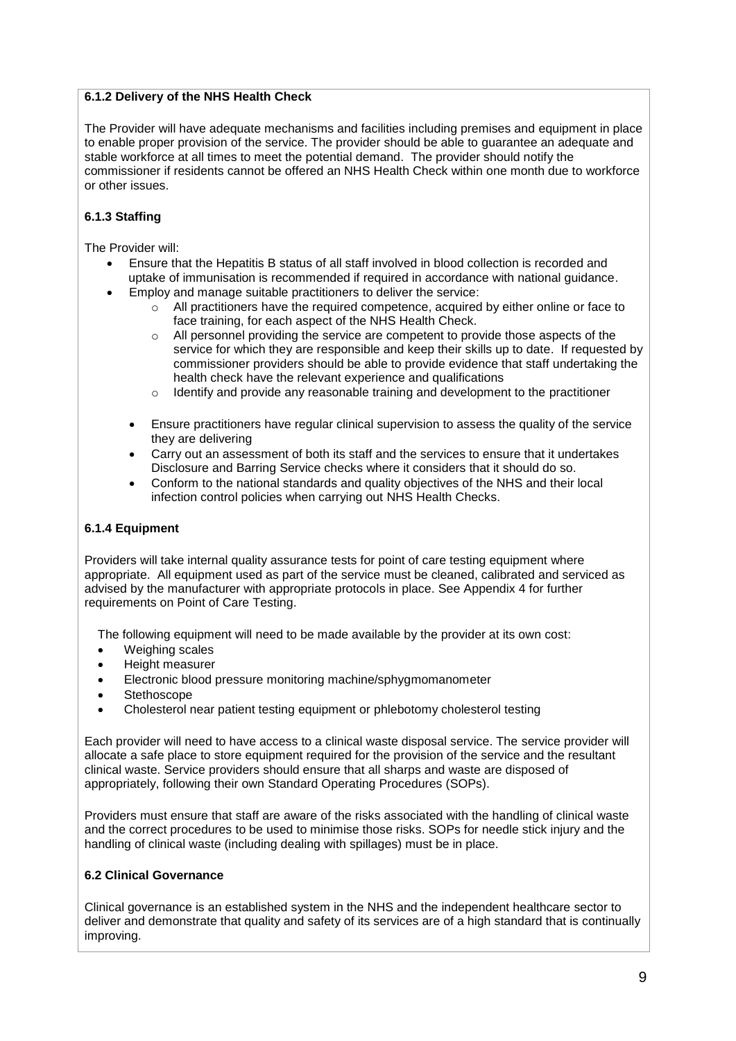## **6.1.2 Delivery of the NHS Health Check**

The Provider will have adequate mechanisms and facilities including premises and equipment in place to enable proper provision of the service. The provider should be able to guarantee an adequate and stable workforce at all times to meet the potential demand. The provider should notify the commissioner if residents cannot be offered an NHS Health Check within one month due to workforce or other issues.

## **6.1.3 Staffing**

The Provider will:

- Ensure that the Hepatitis B status of all staff involved in blood collection is recorded and uptake of immunisation is recommended if required in accordance with national guidance.
- Employ and manage suitable practitioners to deliver the service:
	- $\circ$  All practitioners have the required competence, acquired by either online or face to face training, for each aspect of the NHS Health Check.
	- $\circ$  All personnel providing the service are competent to provide those aspects of the service for which they are responsible and keep their skills up to date. If requested by commissioner providers should be able to provide evidence that staff undertaking the health check have the relevant experience and qualifications
	- $\circ$  Identify and provide any reasonable training and development to the practitioner
	- Ensure practitioners have regular clinical supervision to assess the quality of the service they are delivering
	- Carry out an assessment of both its staff and the services to ensure that it undertakes Disclosure and Barring Service checks where it considers that it should do so.
	- Conform to the national standards and quality objectives of the NHS and their local infection control policies when carrying out NHS Health Checks.

## **6.1.4 Equipment**

Providers will take internal quality assurance tests for point of care testing equipment where appropriate. All equipment used as part of the service must be cleaned, calibrated and serviced as advised by the manufacturer with appropriate protocols in place. See Appendix 4 for further requirements on Point of Care Testing.

The following equipment will need to be made available by the provider at its own cost:

- Weighing scales
- Height measurer
- Electronic blood pressure monitoring machine/sphygmomanometer
- Stethoscope
- Cholesterol near patient testing equipment or phlebotomy cholesterol testing

Each provider will need to have access to a clinical waste disposal service. The service provider will allocate a safe place to store equipment required for the provision of the service and the resultant clinical waste. Service providers should ensure that all sharps and waste are disposed of appropriately, following their own Standard Operating Procedures (SOPs).

Providers must ensure that staff are aware of the risks associated with the handling of clinical waste and the correct procedures to be used to minimise those risks. SOPs for needle stick injury and the handling of clinical waste (including dealing with spillages) must be in place.

#### **6.2 Clinical Governance**

Clinical governance is an established system in the NHS and the independent healthcare sector to deliver and demonstrate that quality and safety of its services are of a high standard that is continually improving.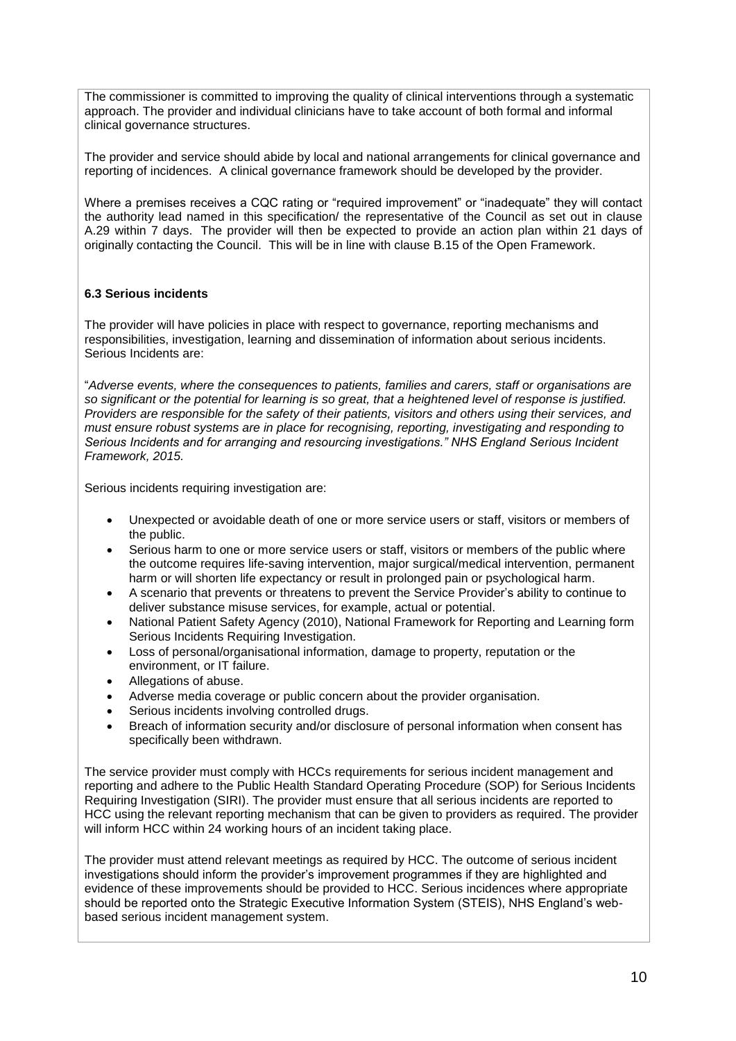The commissioner is committed to improving the quality of clinical interventions through a systematic approach. The provider and individual clinicians have to take account of both formal and informal clinical governance structures.

The provider and service should abide by local and national arrangements for clinical governance and reporting of incidences. A clinical governance framework should be developed by the provider.

Where a premises receives a CQC rating or "required improvement" or "inadequate" they will contact the authority lead named in this specification/ the representative of the Council as set out in clause A.29 within 7 days. The provider will then be expected to provide an action plan within 21 days of originally contacting the Council. This will be in line with clause B.15 of the Open Framework.

## **6.3 Serious incidents**

The provider will have policies in place with respect to governance, reporting mechanisms and responsibilities, investigation, learning and dissemination of information about serious incidents. Serious Incidents are:

"*Adverse events, where the consequences to patients, families and carers, staff or organisations are so significant or the potential for learning is so great, that a heightened level of response is justified. Providers are responsible for the safety of their patients, visitors and others using their services, and must ensure robust systems are in place for recognising, reporting, investigating and responding to Serious Incidents and for arranging and resourcing investigations." NHS England Serious Incident Framework, 2015.*

Serious incidents requiring investigation are:

- Unexpected or avoidable death of one or more service users or staff, visitors or members of the public.
- Serious harm to one or more service users or staff, visitors or members of the public where the outcome requires life-saving intervention, major surgical/medical intervention, permanent harm or will shorten life expectancy or result in prolonged pain or psychological harm.
- A scenario that prevents or threatens to prevent the Service Provider's ability to continue to deliver substance misuse services, for example, actual or potential.
- National Patient Safety Agency (2010), National Framework for Reporting and Learning form Serious Incidents Requiring Investigation.
- Loss of personal/organisational information, damage to property, reputation or the environment, or IT failure.
- Allegations of abuse.
- Adverse media coverage or public concern about the provider organisation.
- Serious incidents involving controlled drugs.
- Breach of information security and/or disclosure of personal information when consent has specifically been withdrawn.

The service provider must comply with HCCs requirements for serious incident management and reporting and adhere to the Public Health Standard Operating Procedure (SOP) for Serious Incidents Requiring Investigation (SIRI). The provider must ensure that all serious incidents are reported to HCC using the relevant reporting mechanism that can be given to providers as required. The provider will inform HCC within 24 working hours of an incident taking place.

The provider must attend relevant meetings as required by HCC. The outcome of serious incident investigations should inform the provider's improvement programmes if they are highlighted and evidence of these improvements should be provided to HCC. Serious incidences where appropriate should be reported onto the Strategic Executive Information System (STEIS), NHS England's webbased serious incident management system.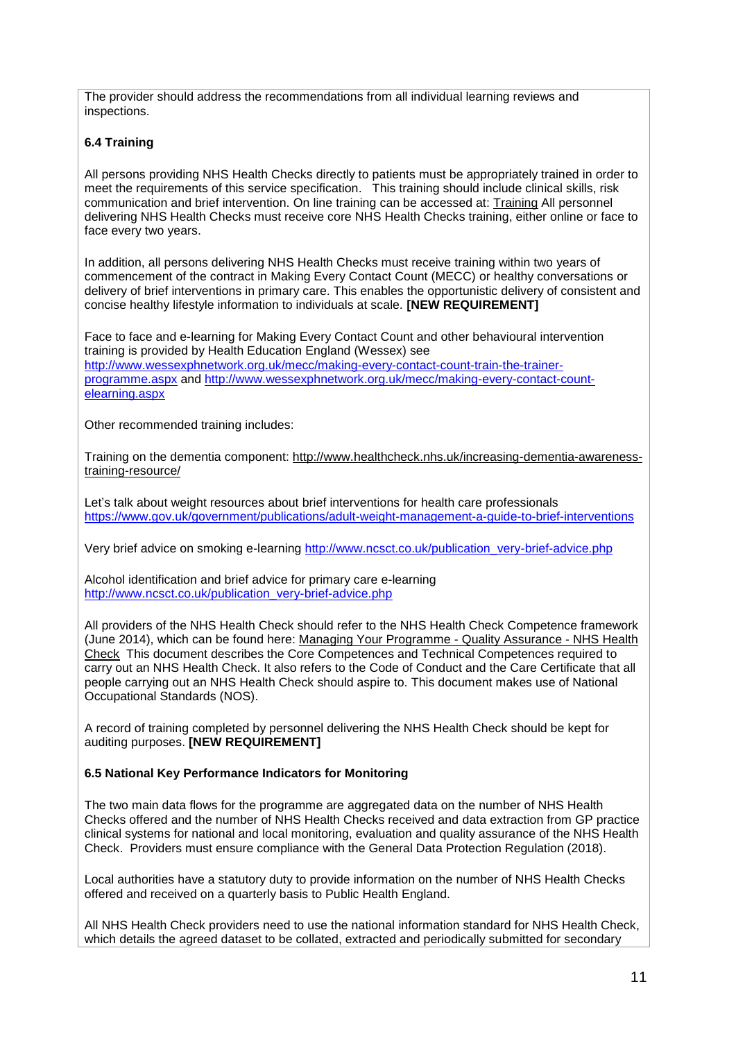The provider should address the recommendations from all individual learning reviews and inspections.

## **6.4 Training**

All persons providing NHS Health Checks directly to patients must be appropriately trained in order to meet the requirements of this service specification. This training should include clinical skills, risk communication and brief intervention. On line training can be accessed at: [Training](http://www.healthcheck.nhs.uk/commissioners_and_providers/training/) All personnel delivering NHS Health Checks must receive core NHS Health Checks training, either online or face to face every two years.

In addition, all persons delivering NHS Health Checks must receive training within two years of commencement of the contract in Making Every Contact Count (MECC) or healthy conversations or delivery of brief interventions in primary care. This enables the opportunistic delivery of consistent and concise healthy lifestyle information to individuals at scale. **[NEW REQUIREMENT]**

Face to face and e-learning for Making Every Contact Count and other behavioural intervention training is provided by Health Education England (Wessex) see [http://www.wessexphnetwork.org.uk/mecc/making-every-contact-count-train-the-trainer](http://www.wessexphnetwork.org.uk/mecc/making-every-contact-count-train-the-trainer-programme.aspx)[programme.aspx](http://www.wessexphnetwork.org.uk/mecc/making-every-contact-count-train-the-trainer-programme.aspx) and [http://www.wessexphnetwork.org.uk/mecc/making-every-contact-count](http://www.wessexphnetwork.org.uk/mecc/making-every-contact-count-elearning.aspx)[elearning.aspx](http://www.wessexphnetwork.org.uk/mecc/making-every-contact-count-elearning.aspx)

Other recommended training includes:

Training on the dementia component: [http://www.healthcheck.nhs.uk/increasing-dementia-awareness](http://www.healthcheck.nhs.uk/increasing-dementia-awareness-training-resource/)[training-resource/](http://www.healthcheck.nhs.uk/increasing-dementia-awareness-training-resource/)

Let's talk about weight resources about brief interventions for health care professionals <https://www.gov.uk/government/publications/adult-weight-management-a-guide-to-brief-interventions>

Very brief advice on smoking e-learning [http://www.ncsct.co.uk/publication\\_very-brief-advice.php](http://www.ncsct.co.uk/publication_very-brief-advice.php) 

Alcohol identification and brief advice for primary care e-learning [http://www.ncsct.co.uk/publication\\_very-brief-advice.php](http://www.ncsct.co.uk/publication_very-brief-advice.php)

All providers of the NHS Health Check should refer to the NHS Health Check Competence framework (June 2014), which can be found here: [Managing Your Programme -](http://www.healthcheck.nhs.uk/commissioners_and_providers/delivery/quality_assurance1/) Quality Assurance - NHS Health [Check](http://www.healthcheck.nhs.uk/commissioners_and_providers/delivery/quality_assurance1/) This document describes the Core Competences and Technical Competences required to carry out an NHS Health Check. It also refers to the Code of Conduct and the Care Certificate that all people carrying out an NHS Health Check should aspire to. This document makes use of National Occupational Standards (NOS).

A record of training completed by personnel delivering the NHS Health Check should be kept for auditing purposes. **[NEW REQUIREMENT]**

#### **6.5 National Key Performance Indicators for Monitoring**

The two main data flows for the programme are aggregated data on the number of NHS Health Checks offered and the number of NHS Health Checks received and data extraction from GP practice clinical systems for national and local monitoring, evaluation and quality assurance of the NHS Health Check. Providers must ensure compliance with the General Data Protection Regulation (2018).

Local authorities have a statutory duty to provide information on the number of NHS Health Checks offered and received on a quarterly basis to Public Health England.

All NHS Health Check providers need to use the national information standard for NHS Health Check, which details the agreed dataset to be collated, extracted and periodically submitted for secondary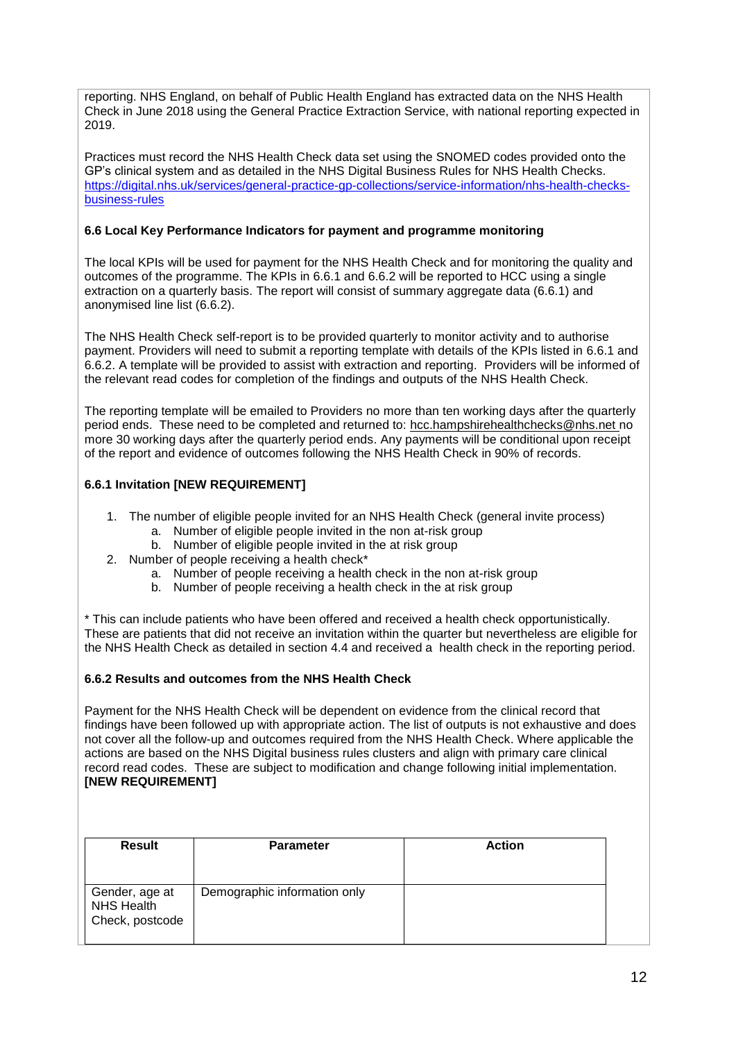reporting. NHS England, on behalf of Public Health England has extracted data on the NHS Health Check in June 2018 using the General Practice Extraction Service, with national reporting expected in 2019.

Practices must record the NHS Health Check data set using the SNOMED codes provided onto the GP's clinical system and as detailed in the NHS Digital Business Rules for NHS Health Checks. [https://digital.nhs.uk/services/general-practice-gp-collections/service-information/nhs-health-checks](https://digital.nhs.uk/services/general-practice-gp-collections/service-information/nhs-health-checks-business-rules)[business-rules](https://digital.nhs.uk/services/general-practice-gp-collections/service-information/nhs-health-checks-business-rules)

## **6.6 Local Key Performance Indicators for payment and programme monitoring**

The local KPIs will be used for payment for the NHS Health Check and for monitoring the quality and outcomes of the programme. The KPIs in 6.6.1 and 6.6.2 will be reported to HCC using a single extraction on a quarterly basis. The report will consist of summary aggregate data (6.6.1) and anonymised line list (6.6.2).

The NHS Health Check self-report is to be provided quarterly to monitor activity and to authorise payment. Providers will need to submit a reporting template with details of the KPIs listed in 6.6.1 and 6.6.2. A template will be provided to assist with extraction and reporting. Providers will be informed of the relevant read codes for completion of the findings and outputs of the NHS Health Check.

The reporting template will be emailed to Providers no more than ten working days after the quarterly period ends. These need to be completed and returned to: [hcc.hampshirehealthchecks@nhs.net](mailto:hcc.hampshirehealthchecks@nhs.net) no more 30 working days after the quarterly period ends. Any payments will be conditional upon receipt of the report and evidence of outcomes following the NHS Health Check in 90% of records.

## **6.6.1 Invitation [NEW REQUIREMENT]**

- 1. The number of eligible people invited for an NHS Health Check (general invite process)
	- a. Number of eligible people invited in the non at-risk group
	- b. Number of eligible people invited in the at risk group
- 2. Number of people receiving a health check\*
	- a. Number of people receiving a health check in the non at-risk group
	- b. Number of people receiving a health check in the at risk group

\* This can include patients who have been offered and received a health check opportunistically. These are patients that did not receive an invitation within the quarter but nevertheless are eligible for the NHS Health Check as detailed in section 4.4 and received a health check in the reporting period.

#### **6.6.2 Results and outcomes from the NHS Health Check**

Payment for the NHS Health Check will be dependent on evidence from the clinical record that findings have been followed up with appropriate action. The list of outputs is not exhaustive and does not cover all the follow-up and outcomes required from the NHS Health Check. Where applicable the actions are based on the NHS Digital business rules clusters and align with primary care clinical record read codes. These are subject to modification and change following initial implementation. **[NEW REQUIREMENT]**

| <b>Result</b>                                          | <b>Parameter</b>             | <b>Action</b> |
|--------------------------------------------------------|------------------------------|---------------|
| Gender, age at<br><b>NHS Health</b><br>Check, postcode | Demographic information only |               |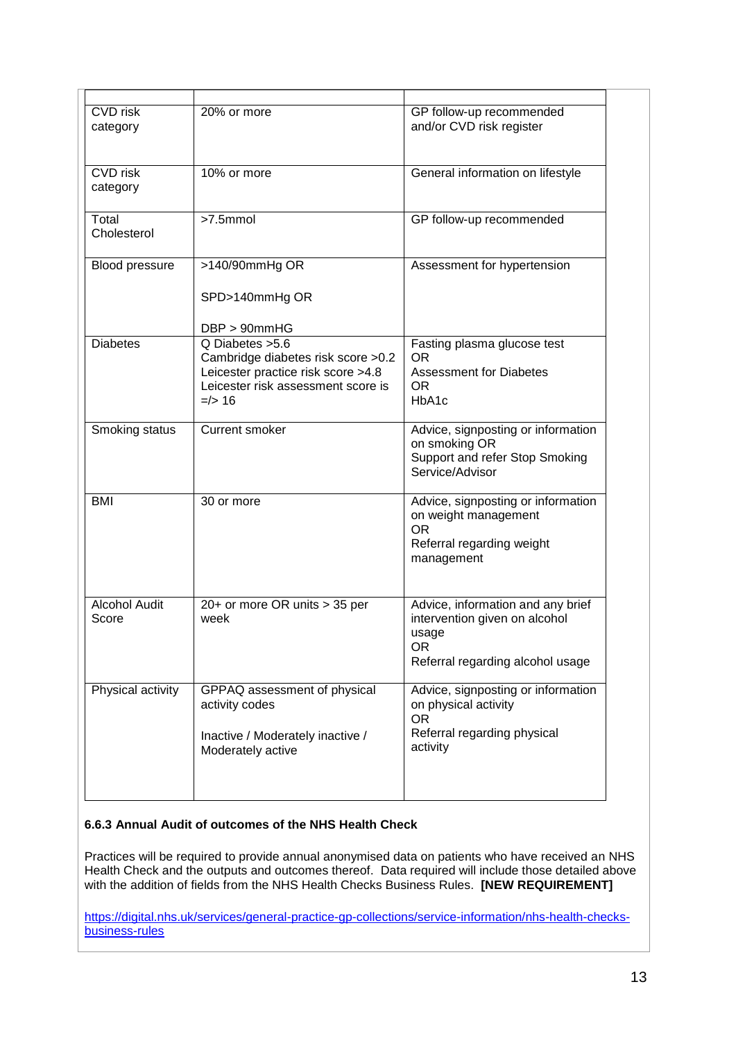| <b>CVD</b> risk<br>category   | 20% or more                                                                                                                                      | GP follow-up recommended<br>and/or CVD risk register                                                                  |
|-------------------------------|--------------------------------------------------------------------------------------------------------------------------------------------------|-----------------------------------------------------------------------------------------------------------------------|
| <b>CVD</b> risk<br>category   | 10% or more                                                                                                                                      | General information on lifestyle                                                                                      |
| Total<br>Cholesterol          | $>7.5$ mmol                                                                                                                                      | GP follow-up recommended                                                                                              |
| Blood pressure                | >140/90mmHg OR<br>SPD>140mmHg OR<br>$DBP > 90$ mm $HG$                                                                                           | Assessment for hypertension                                                                                           |
| <b>Diabetes</b>               | Q Diabetes > 5.6<br>Cambridge diabetes risk score > 0.2<br>Leicester practice risk score >4.8<br>Leicester risk assessment score is<br>$=$ /> 16 | Fasting plasma glucose test<br><b>OR</b><br><b>Assessment for Diabetes</b><br><b>OR</b><br>HbA <sub>1</sub> c         |
| Smoking status                | <b>Current smoker</b>                                                                                                                            | Advice, signposting or information<br>on smoking OR<br>Support and refer Stop Smoking<br>Service/Advisor              |
| <b>BMI</b>                    | 30 or more                                                                                                                                       | Advice, signposting or information<br>on weight management<br><b>OR</b><br>Referral regarding weight<br>management    |
| <b>Alcohol Audit</b><br>Score | 20+ or more OR units > 35 per<br>week                                                                                                            | Advice, information and any brief<br>intervention given on alcohol<br>usage<br>OR<br>Referral regarding alcohol usage |
| Physical activity             | GPPAQ assessment of physical<br>activity codes<br>Inactive / Moderately inactive /<br>Moderately active                                          | Advice, signposting or information<br>on physical activity<br>OR.<br>Referral regarding physical<br>activity          |

### **6.6.3 Annual Audit of outcomes of the NHS Health Check**

Practices will be required to provide annual anonymised data on patients who have received an NHS Health Check and the outputs and outcomes thereof. Data required will include those detailed above with the addition of fields from the NHS Health Checks Business Rules. **[NEW REQUIREMENT]**

[https://digital.nhs.uk/services/general-practice-gp-collections/service-information/nhs-health-checks](https://digital.nhs.uk/services/general-practice-gp-collections/service-information/nhs-health-checks-business-rules)[business-rules](https://digital.nhs.uk/services/general-practice-gp-collections/service-information/nhs-health-checks-business-rules)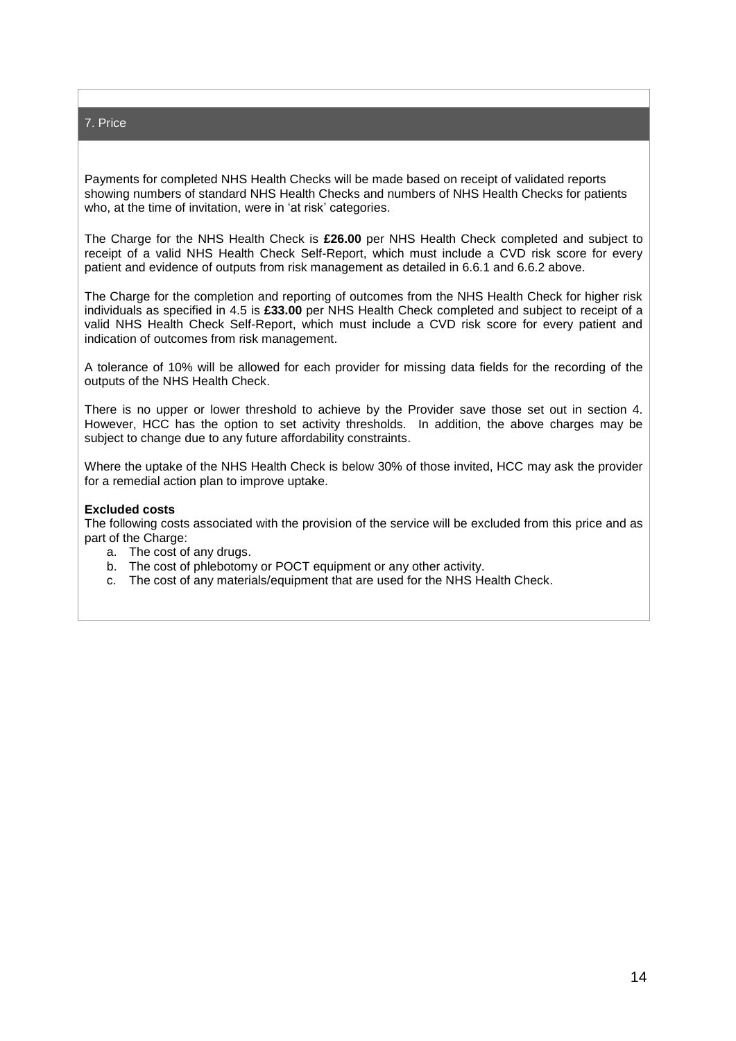#### 7. Price

Payments for completed NHS Health Checks will be made based on receipt of validated reports showing numbers of standard NHS Health Checks and numbers of NHS Health Checks for patients who, at the time of invitation, were in 'at risk' categories.

The Charge for the NHS Health Check is **£26.00** per NHS Health Check completed and subject to receipt of a valid NHS Health Check Self-Report, which must include a CVD risk score for every patient and evidence of outputs from risk management as detailed in 6.6.1 and 6.6.2 above.

The Charge for the completion and reporting of outcomes from the NHS Health Check for higher risk individuals as specified in 4.5 is **£33.00** per NHS Health Check completed and subject to receipt of a valid NHS Health Check Self-Report, which must include a CVD risk score for every patient and indication of outcomes from risk management.

A tolerance of 10% will be allowed for each provider for missing data fields for the recording of the outputs of the NHS Health Check.

There is no upper or lower threshold to achieve by the Provider save those set out in section 4. However, HCC has the option to set activity thresholds. In addition, the above charges may be subject to change due to any future affordability constraints.

Where the uptake of the NHS Health Check is below 30% of those invited, HCC may ask the provider for a remedial action plan to improve uptake.

#### **Excluded costs**

The following costs associated with the provision of the service will be excluded from this price and as part of the Charge:

- a. The cost of any drugs.
- b. The cost of phlebotomy or POCT equipment or any other activity.
- c. The cost of any materials/equipment that are used for the NHS Health Check.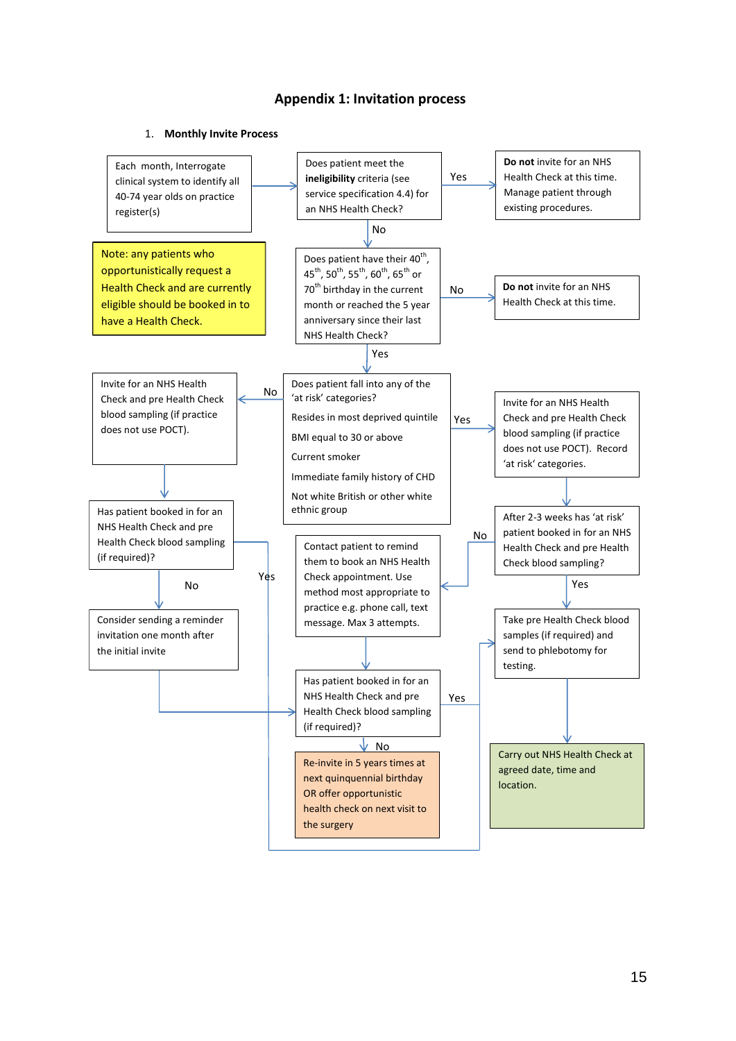## **Appendix 1: Invitation process**

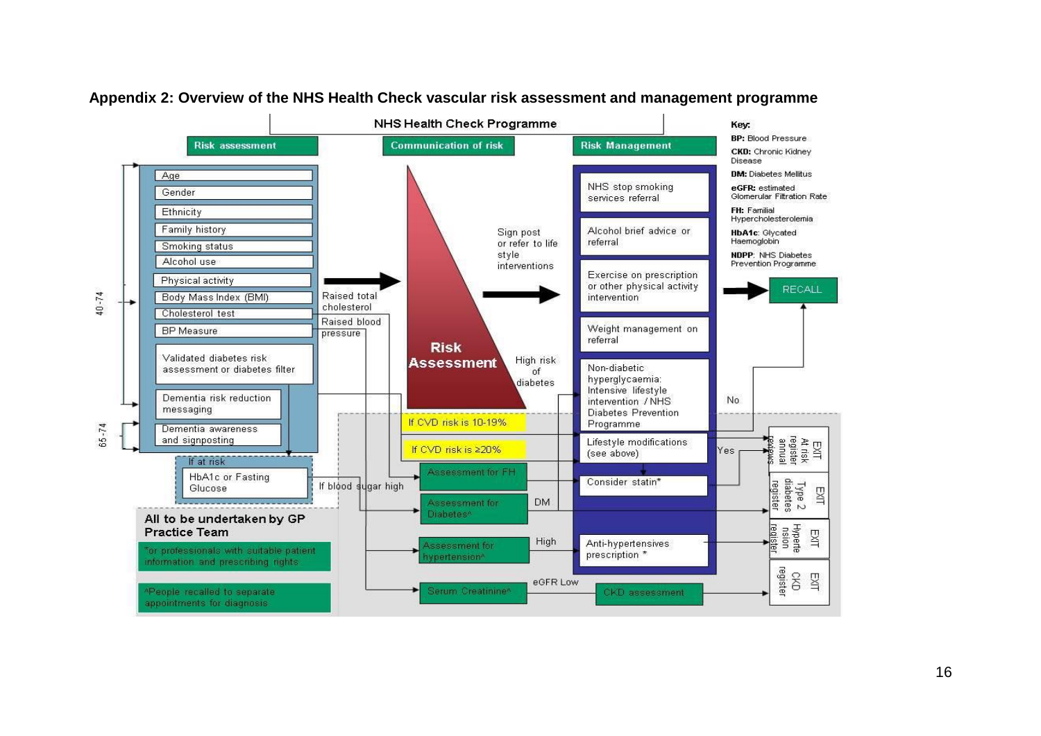

## **Appendix 2: Overview of the NHS Health Check vascular risk assessment and management programme**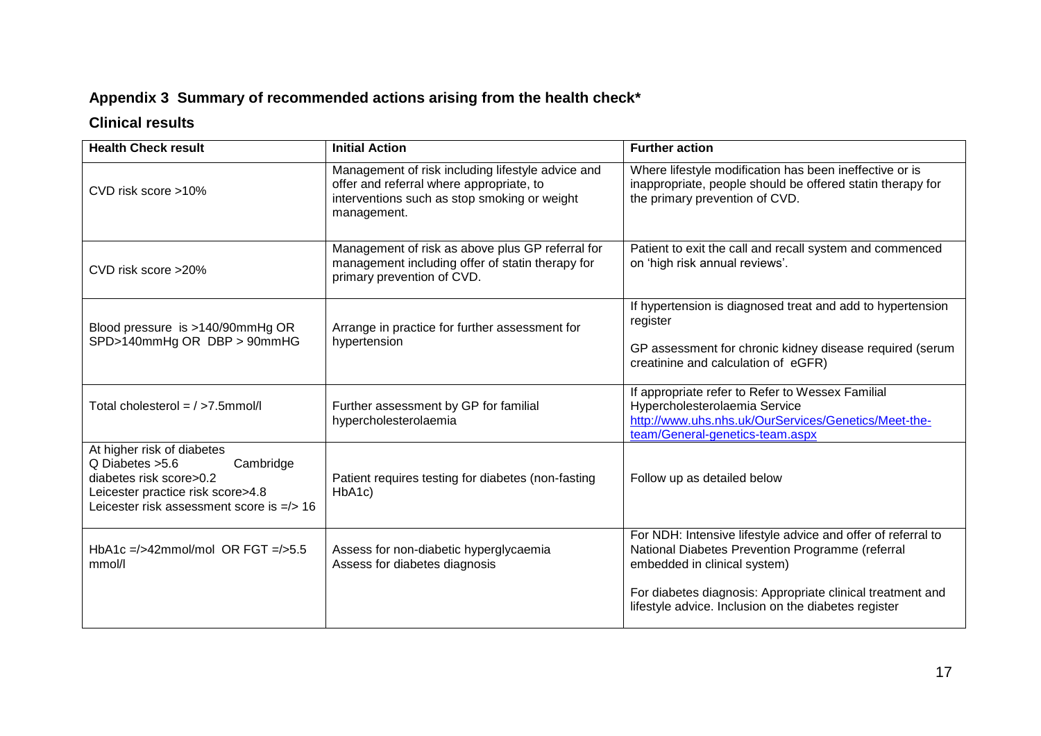# **Appendix 3 Summary of recommended actions arising from the health check\***

## **Clinical results**

| <b>Health Check result</b>                                                                                                                                                  | <b>Initial Action</b>                                                                                                                                        | <b>Further action</b>                                                                                                                                                                                          |
|-----------------------------------------------------------------------------------------------------------------------------------------------------------------------------|--------------------------------------------------------------------------------------------------------------------------------------------------------------|----------------------------------------------------------------------------------------------------------------------------------------------------------------------------------------------------------------|
| CVD risk score >10%                                                                                                                                                         | Management of risk including lifestyle advice and<br>offer and referral where appropriate, to<br>interventions such as stop smoking or weight<br>management. | Where lifestyle modification has been ineffective or is<br>inappropriate, people should be offered statin therapy for<br>the primary prevention of CVD.                                                        |
| CVD risk score >20%                                                                                                                                                         | Management of risk as above plus GP referral for<br>management including offer of statin therapy for<br>primary prevention of CVD.                           | Patient to exit the call and recall system and commenced<br>on 'high risk annual reviews'.                                                                                                                     |
| Blood pressure is >140/90mmHg OR<br>SPD>140mmHg OR DBP > 90mmHG                                                                                                             | Arrange in practice for further assessment for<br>hypertension                                                                                               | If hypertension is diagnosed treat and add to hypertension<br>register<br>GP assessment for chronic kidney disease required (serum<br>creatinine and calculation of eGFR)                                      |
| Total cholesterol = / >7.5mmol/l                                                                                                                                            | Further assessment by GP for familial<br>hypercholesterolaemia                                                                                               | If appropriate refer to Refer to Wessex Familial<br>Hypercholesterolaemia Service<br>http://www.uhs.nhs.uk/OurServices/Genetics/Meet-the-<br>team/General-genetics-team.aspx                                   |
| At higher risk of diabetes<br>Q Diabetes > 5.6<br>Cambridge<br>diabetes risk score>0.2<br>Leicester practice risk score>4.8<br>Leicester risk assessment score is $=$ /> 16 | Patient requires testing for diabetes (non-fasting<br>HbA1c)                                                                                                 | Follow up as detailed below                                                                                                                                                                                    |
| HbA1c =/>42mmol/mol OR FGT =/>5.5<br>mmol/l                                                                                                                                 | Assess for non-diabetic hyperglycaemia<br>Assess for diabetes diagnosis                                                                                      | For NDH: Intensive lifestyle advice and offer of referral to<br>National Diabetes Prevention Programme (referral<br>embedded in clinical system)<br>For diabetes diagnosis: Appropriate clinical treatment and |
|                                                                                                                                                                             |                                                                                                                                                              | lifestyle advice. Inclusion on the diabetes register                                                                                                                                                           |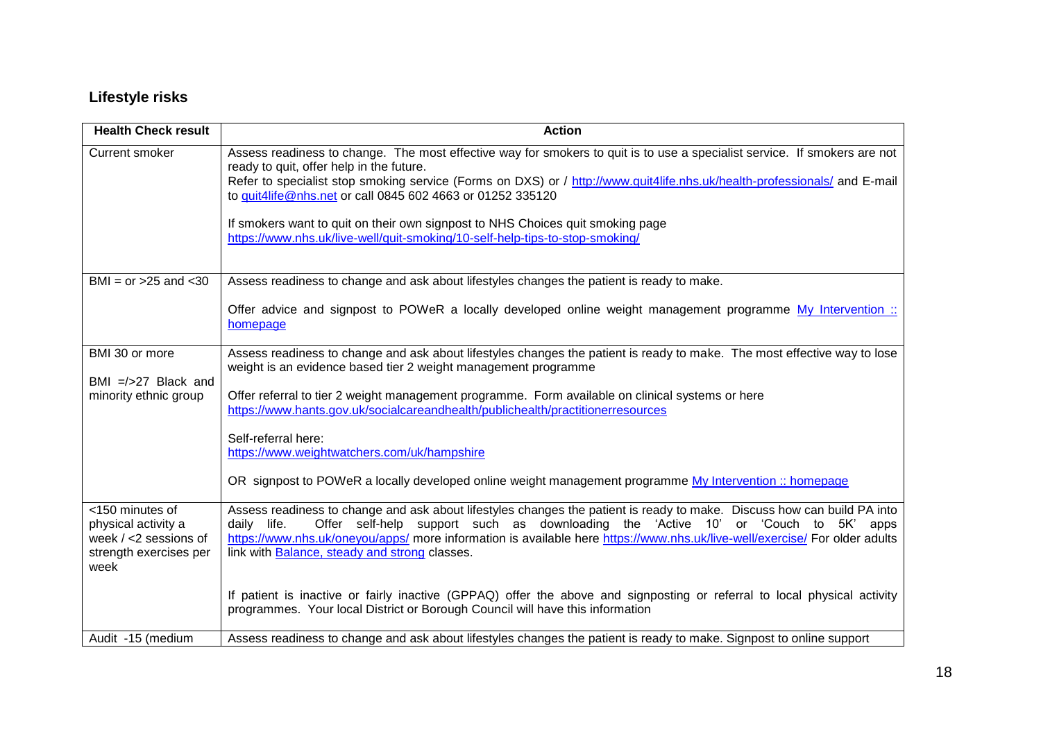# **Lifestyle risks**

| <b>Health Check result</b>                   | <b>Action</b>                                                                                                                                                                                                                  |
|----------------------------------------------|--------------------------------------------------------------------------------------------------------------------------------------------------------------------------------------------------------------------------------|
| Current smoker                               | Assess readiness to change. The most effective way for smokers to quit is to use a specialist service. If smokers are not<br>ready to quit, offer help in the future.                                                          |
|                                              | Refer to specialist stop smoking service (Forms on DXS) or / http://www.quit4life.nhs.uk/health-professionals/ and E-mail                                                                                                      |
|                                              | to quit4life@nhs.net or call 0845 602 4663 or 01252 335120                                                                                                                                                                     |
|                                              | If smokers want to quit on their own signpost to NHS Choices quit smoking page                                                                                                                                                 |
|                                              | https://www.nhs.uk/live-well/quit-smoking/10-self-help-tips-to-stop-smoking/                                                                                                                                                   |
|                                              |                                                                                                                                                                                                                                |
| BMI = $or > 25$ and $< 30$                   | Assess readiness to change and ask about lifestyles changes the patient is ready to make.                                                                                                                                      |
|                                              | Offer advice and signpost to POWeR a locally developed online weight management programme My Intervention ::<br>homepage                                                                                                       |
| BMI 30 or more                               | Assess readiness to change and ask about lifestyles changes the patient is ready to make. The most effective way to lose                                                                                                       |
|                                              | weight is an evidence based tier 2 weight management programme                                                                                                                                                                 |
| BMI $=$ />27 Black and                       |                                                                                                                                                                                                                                |
| minority ethnic group                        | Offer referral to tier 2 weight management programme. Form available on clinical systems or here<br>https://www.hants.gov.uk/socialcareandhealth/publichealth/practitionerresources                                            |
|                                              |                                                                                                                                                                                                                                |
|                                              | Self-referral here:<br>https://www.weightwatchers.com/uk/hampshire                                                                                                                                                             |
|                                              |                                                                                                                                                                                                                                |
|                                              | OR signpost to POWeR a locally developed online weight management programme My Intervention :: homepage                                                                                                                        |
| <150 minutes of                              | Assess readiness to change and ask about lifestyles changes the patient is ready to make. Discuss how can build PA into                                                                                                        |
| physical activity a<br>week / <2 sessions of | Offer self-help support such as downloading the 'Active 10' or 'Couch to 5K' apps<br>daily life.<br>https://www.nhs.uk/oneyou/apps/ more information is available here https://www.nhs.uk/live-well/exercise/ For older adults |
| strength exercises per                       | link with Balance, steady and strong classes.                                                                                                                                                                                  |
| week                                         |                                                                                                                                                                                                                                |
|                                              | If patient is inactive or fairly inactive (GPPAQ) offer the above and signposting or referral to local physical activity                                                                                                       |
|                                              | programmes. Your local District or Borough Council will have this information                                                                                                                                                  |
| Audit -15 (medium                            | Assess readiness to change and ask about lifestyles changes the patient is ready to make. Signpost to online support                                                                                                           |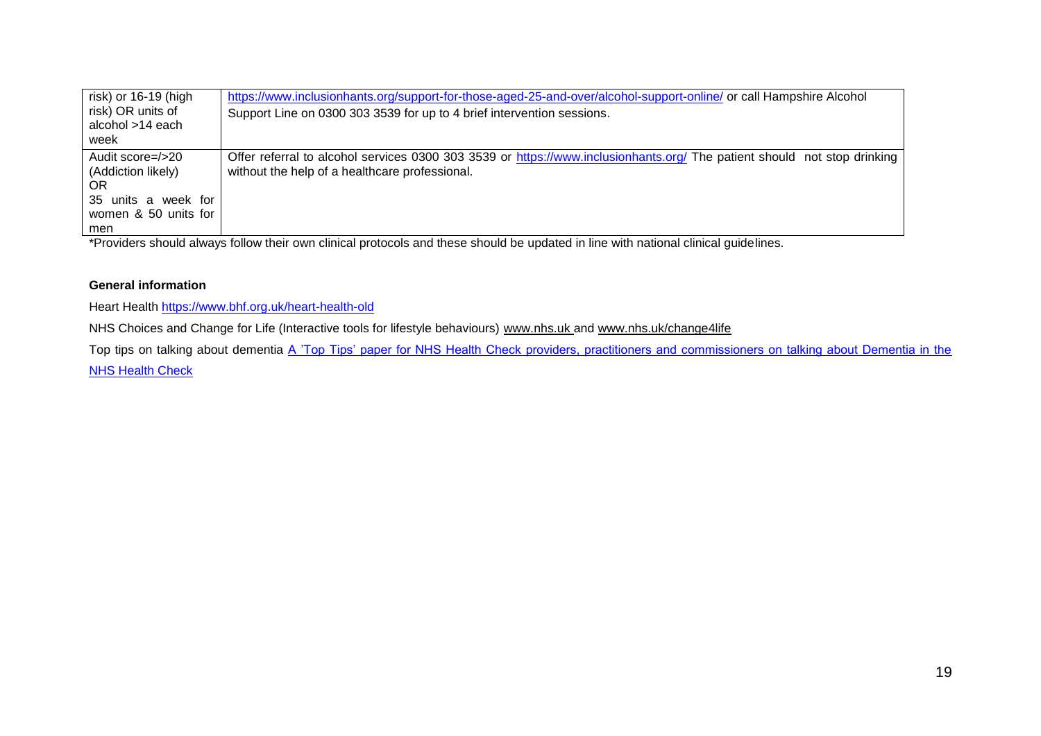| risk) or 16-19 (high | https://www.inclusionhants.org/support-for-those-aged-25-and-over/alcohol-support-online/ or call Hampshire Alcohol      |  |
|----------------------|--------------------------------------------------------------------------------------------------------------------------|--|
| risk) OR units of    | Support Line on 0300 303 3539 for up to 4 brief intervention sessions.                                                   |  |
| alcohol >14 each     |                                                                                                                          |  |
| week                 |                                                                                                                          |  |
| Audit score=/>20     | Offer referral to alcohol services 0300 303 3539 or https://www.inclusionhants.org/ The patient should not stop drinking |  |
| (Addiction likely)   | without the help of a healthcare professional.                                                                           |  |
| <b>OR</b>            |                                                                                                                          |  |
| 35 units a week for  |                                                                                                                          |  |
| women & 50 units for |                                                                                                                          |  |
| men                  |                                                                                                                          |  |

\*Providers should always follow their own clinical protocols and these should be updated in line with national clinical guidelines.

### **General information**

Heart Health<https://www.bhf.org.uk/heart-health-old>

NHS Choices and Change for Life (Interactive tools for lifestyle behaviours) [www.nhs.uk](http://www.nhs.uk/) and [www.nhs.uk/change4life](http://www.nhs.uk/change4life)

Top tips on talking about dementia A 'Top Tips' paper for NHS Health Check providers, practitioners and commissioners on talking about Dementia in the

[NHS Health Check](http://www.healthcheck.nhs.uk/commissioners_and_providers/evidence/)